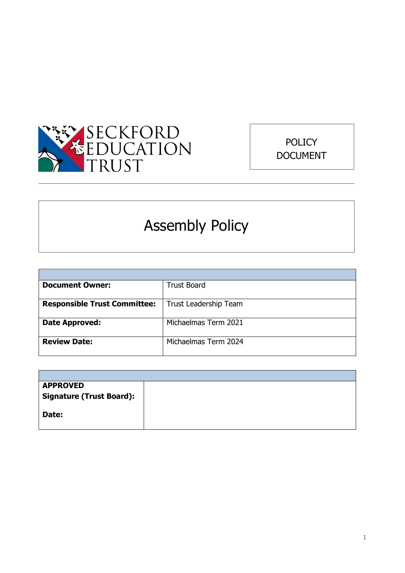



# Assembly Policy

| <b>Document Owner:</b>              | <b>Trust Board</b>    |
|-------------------------------------|-----------------------|
|                                     |                       |
| <b>Responsible Trust Committee:</b> | Trust Leadership Team |
|                                     |                       |
| Date Approved:                      | Michaelmas Term 2021  |
|                                     |                       |
| <b>Review Date:</b>                 | Michaelmas Term 2024  |
|                                     |                       |

| <b>APPROVED</b>                 |  |
|---------------------------------|--|
| <b>Signature (Trust Board):</b> |  |
|                                 |  |
| Date:                           |  |
|                                 |  |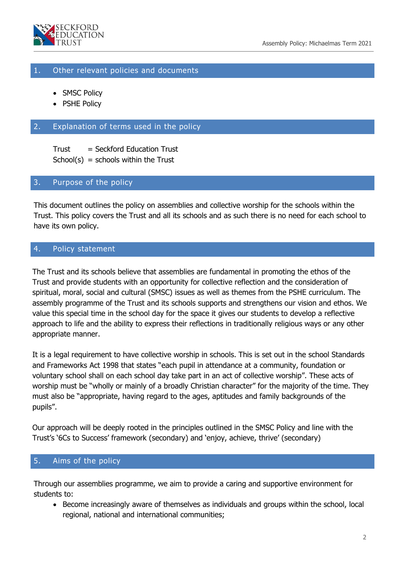

## 1. Other relevant policies and documents

- SMSC Policy
- PSHE Policy

## 2. Explanation of terms used in the policy

 $Trust = Sekford Education Trust$  $School(s) = schools within the Trust$ 

#### 3. Purpose of the policy

This document outlines the policy on assemblies and collective worship for the schools within the Trust. This policy covers the Trust and all its schools and as such there is no need for each school to have its own policy.

## 4. Policy statement

The Trust and its schools believe that assemblies are fundamental in promoting the ethos of the Trust and provide students with an opportunity for collective reflection and the consideration of spiritual, moral, social and cultural (SMSC) issues as well as themes from the PSHE curriculum. The assembly programme of the Trust and its schools supports and strengthens our vision and ethos. We value this special time in the school day for the space it gives our students to develop a reflective approach to life and the ability to express their reflections in traditionally religious ways or any other appropriate manner.

It is a legal requirement to have collective worship in schools. This is set out in the school Standards and Frameworks Act 1998 that states "each pupil in attendance at a community, foundation or voluntary school shall on each school day take part in an act of collective worship". These acts of worship must be "wholly or mainly of a broadly Christian character" for the majority of the time. They must also be "appropriate, having regard to the ages, aptitudes and family backgrounds of the pupils".

Our approach will be deeply rooted in the principles outlined in the SMSC Policy and line with the Trust's '6Cs to Success' framework (secondary) and 'enjoy, achieve, thrive' (secondary)

## 5. Aims of the policy

Through our assemblies programme, we aim to provide a caring and supportive environment for students to:

 Become increasingly aware of themselves as individuals and groups within the school, local regional, national and international communities;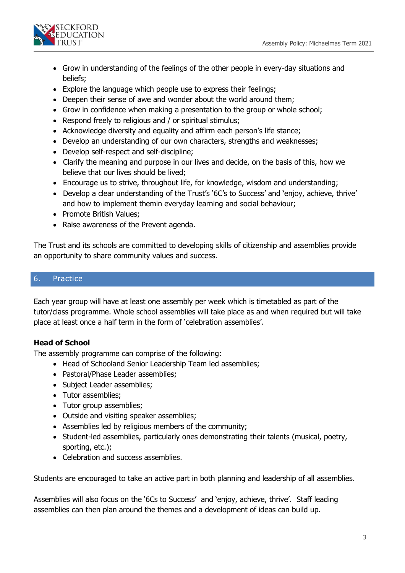

- Grow in understanding of the feelings of the other people in every-day situations and beliefs;
- Explore the language which people use to express their feelings;
- Deepen their sense of awe and wonder about the world around them;
- Grow in confidence when making a presentation to the group or whole school;
- Respond freely to religious and / or spiritual stimulus;
- Acknowledge diversity and equality and affirm each person's life stance;
- Develop an understanding of our own characters, strengths and weaknesses;
- Develop self-respect and self-discipline;
- Clarify the meaning and purpose in our lives and decide, on the basis of this, how we believe that our lives should be lived;
- Encourage us to strive, throughout life, for knowledge, wisdom and understanding;
- Develop a clear understanding of the Trust's '6C's to Success' and 'enjoy, achieve, thrive' and how to implement themin everyday learning and social behaviour;
- Promote British Values;
- Raise awareness of the Prevent agenda.

The Trust and its schools are committed to developing skills of citizenship and assemblies provide an opportunity to share community values and success.

## 6. Practice

Each year group will have at least one assembly per week which is timetabled as part of the tutor/class programme. Whole school assemblies will take place as and when required but will take place at least once a half term in the form of 'celebration assemblies'.

# **Head of School**

The assembly programme can comprise of the following:

- Head of Schooland Senior Leadership Team led assemblies;
- Pastoral/Phase Leader assemblies;
- Subject Leader assemblies;
- Tutor assemblies;
- Tutor group assemblies;
- Outside and visiting speaker assemblies;
- Assemblies led by religious members of the community;
- Student-led assemblies, particularly ones demonstrating their talents (musical, poetry, sporting, etc.);
- Celebration and success assemblies.

Students are encouraged to take an active part in both planning and leadership of all assemblies.

Assemblies will also focus on the '6Cs to Success' and 'enjoy, achieve, thrive'. Staff leading assemblies can then plan around the themes and a development of ideas can build up.